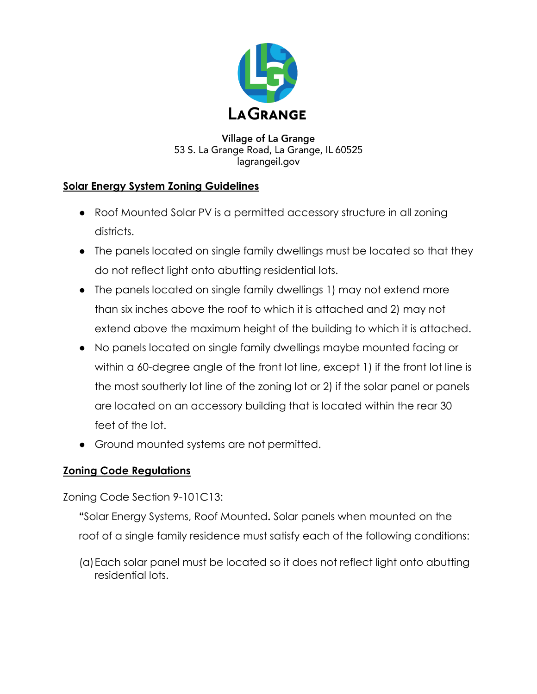

### **Village of La Grange** 53 S. La Grange Road, La Grange, IL 60525 lagrangeil.gov

# **Solar Energy System Zoning Guidelines**

- Roof Mounted Solar PV is a permitted accessory structure in all zoning districts.
- The panels located on single family dwellings must be located so that they do not reflect light onto abutting residential lots.
- The panels located on single family dwellings 1) may not extend more than six inches above the roof to which it is attached and 2) may not extend above the maximum height of the building to which it is attached.
- No panels located on single family dwellings maybe mounted facing or within a 60-degree angle of the front lot line, except 1) if the front lot line is the most southerly lot line of the zoning lot or 2) if the solar panel or panels are located on an accessory building that is located within the rear 30 feet of the lot.
- Ground mounted systems are not permitted.

## **Zoning Code Regulations**

Zoning Code Section 9-101C13:

- **"**Solar Energy Systems, Roof Mounted**.** Solar panels when mounted on the roof of a single family residence must satisfy each of the following conditions:
- (a)Each solar panel must be located so it does not reflect light onto abutting residential lots.